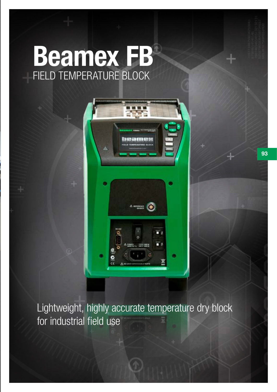# Beamex FB FIELD TEMPERATURE BLOCK



Lightweight, highly accurate temperature dry block for industrial field use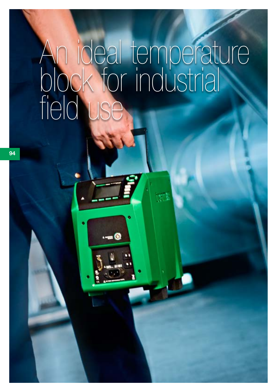# An ideal temperature block for industrial field use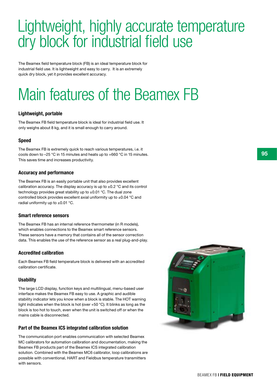### Lightweight, highly accurate temperature dry block for industrial field use

The Beamex field temperature block (FB) is an ideal temperature block for industrial field use. It is lightweight and easy to carry. It is an extremely quick dry block, yet it provides excellent accuracy.

## Main features of the Beamex FB

### Lightweight, portable

The Beamex FB field temperature block is ideal for industrial field use. It only weighs about 8 kg, and it is small enough to carry around.

### Speed

The Beamex FB is extremely quick to reach various temperatures, i.e. it cools down to –25 °C in 15 minutes and heats up to +660 °C in 15 minutes. This saves time and increases productivity.

### Accuracy and performance

The Beamex FB is an easily portable unit that also provides excellent calibration accuracy. The display accuracy is up to  $\pm 0.2$  °C and its control technology provides great stability up to  $\pm 0.01$  °C. The dual zone controlled block provides excellent axial uniformity up to ±0.04 °C and radial uniformity up to  $\pm 0.01$  °C.

### Smart reference sensors

The Beamex FB has an internal reference thermometer (in R models), which enables connections to the Beamex smart reference sensors. These sensors have a memory that contains all of the sensor correction data. This enables the use of the reference sensor as a real plug-and-play.

### Accredited calibration

Each Beamex FB field temperature block is delivered with an accredited calibration certificate.

### **Usability**

The large LCD display, function keys and multilingual, menu-based user interface makes the Beamex FB easy to use. A graphic and audible stability indicator lets you know when a block is stable. The HOT warning light indicates when the block is hot (over +50 °C). It blinks as long as the block is too hot to touch, even when the unit is switched off or when the mains cable is disconnected.

### Part of the Beamex ICS integrated calibration solution

The communication port enables communication with selected Beamex MC calibrators for automation calibration and documentation, making the Beamex FB products part of the Beamex ICS integrated calibration solution. Combined with the Beamex MC6 calibrator, loop calibrations are possible with conventional, HART and Fieldbus temperature transmitters with sensors.

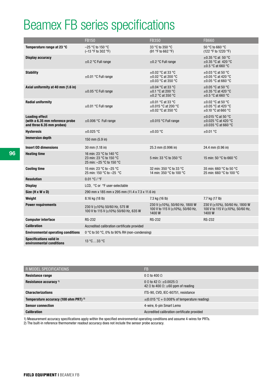### Beamex FB series specifications

|                                                                                       | <b>FB150</b>                                                                   | <b>FB350</b>                                                                  | <b>FB660</b>                                                                    |
|---------------------------------------------------------------------------------------|--------------------------------------------------------------------------------|-------------------------------------------------------------------------------|---------------------------------------------------------------------------------|
| Temperature range at 23 °C                                                            | $-25$ °C to 150 °C<br>(-13 °F to 302 °F)                                       | 33 °C to 350 °C<br>(91 °F to 662 °F)                                          | 50 °C to 660 °C<br>(122 °F to 1220 °F)                                          |
| <b>Display accuracy</b>                                                               | $\pm 0.2$ °C Full range                                                        | $\pm 0.2$ °C Full range                                                       | $\pm 0.35$ °C at 50 °C<br>$\pm 0.35$ °C at 420 °C<br>$\pm 0.5$ °C at 660 °C     |
| <b>Stability</b>                                                                      | $\pm 0.01$ °C Full range                                                       | $\pm 0.02$ °C at 33 °C<br>$\pm 0.02$ °C at 200 °C<br>$\pm 0.03$ °C at 350 °C  | $\pm 0.03$ °C at 50 °C<br>$\pm 0.05$ °C at 420 °C<br>$\pm 0.05$ °C at 660 °C    |
| Axial uniformity at 40 mm (1.6 in)                                                    | $\pm 0.05$ °C Full range                                                       | $\pm 0.04$ °C at 33 °C<br>$\pm$ 0.1 °C at 200 °C<br>$\pm$ 0.2 °C at 350 °C    | $\pm 0.05$ °C at 50 °C<br>$\pm$ 0.35 °C at 420 °C<br>$\pm 0.5$ °C at 660 °C     |
| <b>Radial uniformity</b>                                                              | $\pm 0.01$ °C Full range                                                       | $\pm 0.01$ °C at 33 °C<br>$\pm 0.015$ °C at 200 °C<br>$\pm 0.02$ °C at 350 °C | $\pm 0.02$ °C at 50 °C<br>$\pm 0.05$ °C at 420 °C<br>$\pm$ 0.10 °C at 660 °C    |
| <b>Loading effect</b><br>(with a 6.35 mm reference probe<br>and three 6.35 mm probes) | $\pm 0.006$ °C Full range                                                      | $\pm 0.015$ °C Full range                                                     | $\pm 0.015$ °C at 50 °C<br>$\pm 0.025$ °C at 420 °C<br>$\pm 0.035$ °C at 660 °C |
| <b>Hysteresis</b>                                                                     | $\pm 0.025$ °C                                                                 | $\pm 0.03$ °C                                                                 | $\pm 0.01$ °C                                                                   |
| <b>Immersion depth</b>                                                                | 150 mm $(5.9 \text{ in})$                                                      |                                                                               |                                                                                 |
| <b>Insert OD dimensions</b>                                                           | 30 mm (1.18 in)                                                                | 25.3 mm (0.996 in)                                                            | 24.4 mm (0.96 in)                                                               |
| <b>Heating time</b>                                                                   | 16 min: 23 °C to 140 °C<br>23 min: 23 °C to 150 °C<br>25 min: -25 °C to 150 °C | 5 min: 33 °C to 350 °C                                                        | 15 min: 50 $^{\circ}$ C to 660 $^{\circ}$ C                                     |
| <b>Cooling time</b>                                                                   | 15 min: 23 °C to -25 °C<br>25 min: 150 °C to -25 °C                            | 32 min: 350 °C to 33 °C<br>14 min: 350 °C to 100 °C                           | 35 min: 660 °C to 50 °C<br>25 min: 660 °C to 100 °C                             |
| <b>Resolution</b>                                                                     | 0.01 °C / °F                                                                   |                                                                               |                                                                                 |
| <b>Display</b>                                                                        | LCD, °C or °F user-selectable                                                  |                                                                               |                                                                                 |
| Size (H x W x D)                                                                      | 290 mm x 185 mm x 295 mm (11.4 x 7.3 x 11.6 in)                                |                                                                               |                                                                                 |
| Weight                                                                                | 8.16 kg (18 lb)                                                                | 7.3 kg (16 lb)                                                                | 7.7 kg (17 lb)                                                                  |
| <b>Power requirements</b>                                                             | 230 V ( $\pm$ 10%) 50/60 Hz, 575 W<br>100 V to 115 V (±10%) 50/60 Hz, 635 W    | 230 V (±10%), 50/60 Hz, 1800 W<br>100 V to 115 V (±10%), 50/60 Hz,<br>1400W   | 230 V (±10%), 50/60 Hz, 1800 W<br>100 V to 115 V (±10%), 50/60 Hz,<br>1400W     |
| <b>Computer interface</b>                                                             | <b>RS-232</b>                                                                  | <b>RS-232</b>                                                                 | <b>RS-232</b>                                                                   |
| <b>Calibration</b>                                                                    | Accredited calibration certificate provided                                    |                                                                               |                                                                                 |
| <b>Environmental operating conditions</b>                                             | 0 °C to 50 °C, 0% to 90% RH (non-condensing)                                   |                                                                               |                                                                                 |
| <b>Specifications valid in</b><br>environmental conditions                            | $13^{\circ}$ C33 $^{\circ}$ C                                                  |                                                                               |                                                                                 |

| R MODEL SPECIFICATIONS                           | FB                                                                                                       |
|--------------------------------------------------|----------------------------------------------------------------------------------------------------------|
| Resistance range                                 | $0 \Omega$ to 400 $\Omega$                                                                               |
| Resistance accuracy <sup>1)</sup>                | $0 \Omega$ to 42 $\Omega$ : $\pm 0.0025 \Omega$<br>42 $\Omega$ to 400 $\Omega$ : $\pm 60$ ppm of reading |
| <b>Characterizations</b>                         | ITS-90, CVD, IEC-60751, resistance                                                                       |
| Temperature accuracy (100 ohm PRT) <sup>2)</sup> | $\pm$ (0.015 °C + 0.008% of temperature reading)                                                         |
| <b>Sensor connection</b>                         | 4-wire, 6-pin Smart Lemo                                                                                 |
| <b>Calibration</b>                               | Accredited calibration certificate provided                                                              |

1) Measurement accuracy specifications apply within the specified environmental operating conditions and assume 4-wires for PRTs.

2) The built-in reference thermometer readout accuracy does not include the sensor probe accuracy.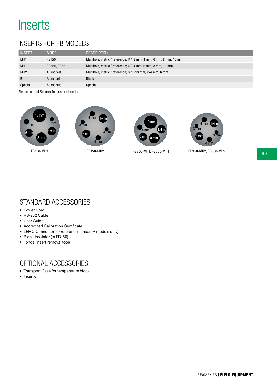### **Inserts**

### Inserts for FB models

| <b>INSERT</b>   | <b>MODEL</b> | <b>DESCRIPTION</b>                                                 |
|-----------------|--------------|--------------------------------------------------------------------|
| MH <sub>1</sub> | FB150        | Multihole, metric / reference; 1/4", 3 mm, 4 mm, 6 mm, 8 mm, 10 mm |
| MH <sub>1</sub> | FB350, FB660 | Multihole, metric / reference; 1/4", 4 mm, 6 mm, 8 mm, 10 mm       |
| MH <sub>2</sub> | All models   | Multihole, metric / reference; 1/4", 2x3 mm, 2x4 mm, 6 mm          |
| B               | All models   | <b>Blank</b>                                                       |
| Special         | All models   | Special                                                            |

Please contact Beamex for custom inserts.





FB150-MH2







FB150-MH1 FB350-MH1, FB660-MH1 FB350-MH2, FB660-MH2

### Standard Accessories

- Power Cord
- RS-232 Cable
- User Guide
- Accredited Calibration Certificate
- LEMO Connector for reference sensor (R models only)
- Block Insulator (in FB150)
- Tongs (insert removal tool)

### Optional Accessories

- Transport Case for temperature block
- Inserts